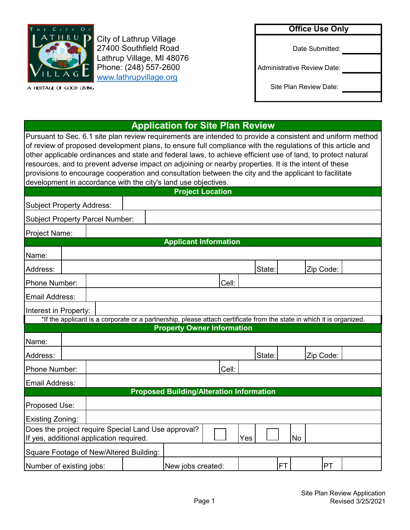

[www.lathrupvillage.org](http://www.lathrupvillage.org/) Phone: (248) 557-2600 City of Lathrup Village 27400 Southfield Road Lathrup Village, MI 48076

A HERITAGE OF GOOD LIVING

## **Office Use Only**

Date Submitted:

Administrative Review Date:

Site Plan Review Date:

# **Application for Site Plan Review**

Pursuant to Sec. 6.1 site plan review requirements are intended to provide a consistent and uniform method of review of proposed development plans, to ensure full compliance with the regulations of this article and other applicable ordinances and state and federal laws, to achieve efficient use of land, to protect natural resources, and to prevent adverse impact on adjoining or nearby properties. It is the intent of these provisions to encourage cooperation and consultation between the city and the applicant to facilitate development in accordance with the city's land use objectives.

|                                  |  |                                          |                                                     | <b>Project Location</b>                                                                                               |       |        |           |           |  |
|----------------------------------|--|------------------------------------------|-----------------------------------------------------|-----------------------------------------------------------------------------------------------------------------------|-------|--------|-----------|-----------|--|
| <b>Subject Property Address:</b> |  |                                          |                                                     |                                                                                                                       |       |        |           |           |  |
|                                  |  | Subject Property Parcel Number:          |                                                     |                                                                                                                       |       |        |           |           |  |
| Project Name:                    |  |                                          |                                                     |                                                                                                                       |       |        |           |           |  |
|                                  |  |                                          |                                                     | <b>Applicant Information</b>                                                                                          |       |        |           |           |  |
| Name:                            |  |                                          |                                                     |                                                                                                                       |       |        |           |           |  |
| Address:                         |  |                                          |                                                     |                                                                                                                       |       | State: |           | Zip Code: |  |
| Phone Number:                    |  |                                          |                                                     |                                                                                                                       | Cell: |        |           |           |  |
| Email Address:                   |  |                                          |                                                     |                                                                                                                       |       |        |           |           |  |
| Interest in Property:            |  |                                          |                                                     |                                                                                                                       |       |        |           |           |  |
|                                  |  |                                          |                                                     | *If the applicant is a corporate or a partnership, please attach certificate from the state in which it is organized. |       |        |           |           |  |
|                                  |  |                                          |                                                     | <b>Property Owner Information</b>                                                                                     |       |        |           |           |  |
| Name:                            |  |                                          |                                                     |                                                                                                                       |       |        |           |           |  |
| Address:                         |  |                                          |                                                     |                                                                                                                       |       | State: |           | Zip Code: |  |
| Phone Number:                    |  |                                          |                                                     |                                                                                                                       | Cell: |        |           |           |  |
| Email Address:                   |  |                                          |                                                     |                                                                                                                       |       |        |           |           |  |
|                                  |  |                                          |                                                     | <b>Proposed Building/Alteration Information</b>                                                                       |       |        |           |           |  |
| Proposed Use:                    |  |                                          |                                                     |                                                                                                                       |       |        |           |           |  |
| Existing Zoning:                 |  |                                          |                                                     |                                                                                                                       |       |        |           |           |  |
|                                  |  | If yes, additional application required. | Does the project require Special Land Use approval? |                                                                                                                       |       | Yes    | <b>No</b> |           |  |
|                                  |  |                                          | Square Footage of New/Altered Building:             |                                                                                                                       |       |        |           |           |  |
| Number of existing jobs:         |  |                                          |                                                     | New jobs created:                                                                                                     |       |        | <b>FT</b> | PT        |  |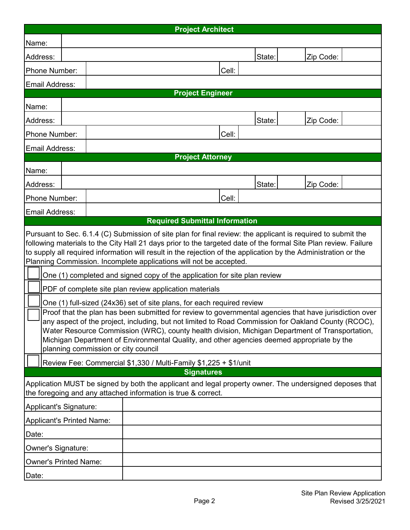|                                                                                                                                                                                                                                                                                                                                                                                                                                                                                                                                                                                                                                                                                                                                                                                                                                                                                                                                                                                                                                                                                                                                                                                                                                      |  |  |  |  | <b>Project Architect</b> |       |        |           |  |
|--------------------------------------------------------------------------------------------------------------------------------------------------------------------------------------------------------------------------------------------------------------------------------------------------------------------------------------------------------------------------------------------------------------------------------------------------------------------------------------------------------------------------------------------------------------------------------------------------------------------------------------------------------------------------------------------------------------------------------------------------------------------------------------------------------------------------------------------------------------------------------------------------------------------------------------------------------------------------------------------------------------------------------------------------------------------------------------------------------------------------------------------------------------------------------------------------------------------------------------|--|--|--|--|--------------------------|-------|--------|-----------|--|
| Name:                                                                                                                                                                                                                                                                                                                                                                                                                                                                                                                                                                                                                                                                                                                                                                                                                                                                                                                                                                                                                                                                                                                                                                                                                                |  |  |  |  |                          |       |        |           |  |
| Address:                                                                                                                                                                                                                                                                                                                                                                                                                                                                                                                                                                                                                                                                                                                                                                                                                                                                                                                                                                                                                                                                                                                                                                                                                             |  |  |  |  |                          |       | State: | Zip Code: |  |
| Phone Number:                                                                                                                                                                                                                                                                                                                                                                                                                                                                                                                                                                                                                                                                                                                                                                                                                                                                                                                                                                                                                                                                                                                                                                                                                        |  |  |  |  |                          | Cell: |        |           |  |
| Email Address:                                                                                                                                                                                                                                                                                                                                                                                                                                                                                                                                                                                                                                                                                                                                                                                                                                                                                                                                                                                                                                                                                                                                                                                                                       |  |  |  |  |                          |       |        |           |  |
|                                                                                                                                                                                                                                                                                                                                                                                                                                                                                                                                                                                                                                                                                                                                                                                                                                                                                                                                                                                                                                                                                                                                                                                                                                      |  |  |  |  | <b>Project Engineer</b>  |       |        |           |  |
| Name:                                                                                                                                                                                                                                                                                                                                                                                                                                                                                                                                                                                                                                                                                                                                                                                                                                                                                                                                                                                                                                                                                                                                                                                                                                |  |  |  |  |                          |       |        |           |  |
| Address:                                                                                                                                                                                                                                                                                                                                                                                                                                                                                                                                                                                                                                                                                                                                                                                                                                                                                                                                                                                                                                                                                                                                                                                                                             |  |  |  |  |                          |       | State: | Zip Code: |  |
| Phone Number:                                                                                                                                                                                                                                                                                                                                                                                                                                                                                                                                                                                                                                                                                                                                                                                                                                                                                                                                                                                                                                                                                                                                                                                                                        |  |  |  |  |                          | Cell: |        |           |  |
| Email Address:                                                                                                                                                                                                                                                                                                                                                                                                                                                                                                                                                                                                                                                                                                                                                                                                                                                                                                                                                                                                                                                                                                                                                                                                                       |  |  |  |  |                          |       |        |           |  |
|                                                                                                                                                                                                                                                                                                                                                                                                                                                                                                                                                                                                                                                                                                                                                                                                                                                                                                                                                                                                                                                                                                                                                                                                                                      |  |  |  |  | <b>Project Attorney</b>  |       |        |           |  |
| Name:                                                                                                                                                                                                                                                                                                                                                                                                                                                                                                                                                                                                                                                                                                                                                                                                                                                                                                                                                                                                                                                                                                                                                                                                                                |  |  |  |  |                          |       |        |           |  |
| Address:                                                                                                                                                                                                                                                                                                                                                                                                                                                                                                                                                                                                                                                                                                                                                                                                                                                                                                                                                                                                                                                                                                                                                                                                                             |  |  |  |  |                          |       | State: | Zip Code: |  |
| Phone Number:                                                                                                                                                                                                                                                                                                                                                                                                                                                                                                                                                                                                                                                                                                                                                                                                                                                                                                                                                                                                                                                                                                                                                                                                                        |  |  |  |  |                          | Cell: |        |           |  |
| Email Address:                                                                                                                                                                                                                                                                                                                                                                                                                                                                                                                                                                                                                                                                                                                                                                                                                                                                                                                                                                                                                                                                                                                                                                                                                       |  |  |  |  |                          |       |        |           |  |
| <b>Required Submittal Information</b><br>Pursuant to Sec. 6.1.4 (C) Submission of site plan for final review: the applicant is required to submit the<br>following materials to the City Hall 21 days prior to the targeted date of the formal Site Plan review. Failure<br>to supply all required information will result in the rejection of the application by the Administration or the<br>Planning Commission. Incomplete applications will not be accepted.<br>One (1) completed and signed copy of the application for site plan review<br>PDF of complete site plan review application materials<br>One (1) full-sized (24x36) set of site plans, for each required review<br>Proof that the plan has been submitted for review to governmental agencies that have jurisdiction over<br>any aspect of the project, including, but not limited to Road Commission for Oakland County (RCOC),<br>Water Resource Commission (WRC), county health division, Michigan Department of Transportation,<br>Michigan Department of Environmental Quality, and other agencies deemed appropriate by the<br>planning commission or city council<br>Review Fee: Commercial \$1,330 / Multi-Family \$1,225 + \$1/unit<br><b>Signatures</b> |  |  |  |  |                          |       |        |           |  |
| Application MUST be signed by both the applicant and legal property owner. The undersigned deposes that<br>the foregoing and any attached information is true & correct.                                                                                                                                                                                                                                                                                                                                                                                                                                                                                                                                                                                                                                                                                                                                                                                                                                                                                                                                                                                                                                                             |  |  |  |  |                          |       |        |           |  |
| Applicant's Signature:                                                                                                                                                                                                                                                                                                                                                                                                                                                                                                                                                                                                                                                                                                                                                                                                                                                                                                                                                                                                                                                                                                                                                                                                               |  |  |  |  |                          |       |        |           |  |
| Applicant's Printed Name:                                                                                                                                                                                                                                                                                                                                                                                                                                                                                                                                                                                                                                                                                                                                                                                                                                                                                                                                                                                                                                                                                                                                                                                                            |  |  |  |  |                          |       |        |           |  |
| Date:                                                                                                                                                                                                                                                                                                                                                                                                                                                                                                                                                                                                                                                                                                                                                                                                                                                                                                                                                                                                                                                                                                                                                                                                                                |  |  |  |  |                          |       |        |           |  |
| Owner's Signature:                                                                                                                                                                                                                                                                                                                                                                                                                                                                                                                                                                                                                                                                                                                                                                                                                                                                                                                                                                                                                                                                                                                                                                                                                   |  |  |  |  |                          |       |        |           |  |
| <b>Owner's Printed Name:</b>                                                                                                                                                                                                                                                                                                                                                                                                                                                                                                                                                                                                                                                                                                                                                                                                                                                                                                                                                                                                                                                                                                                                                                                                         |  |  |  |  |                          |       |        |           |  |
| Date:                                                                                                                                                                                                                                                                                                                                                                                                                                                                                                                                                                                                                                                                                                                                                                                                                                                                                                                                                                                                                                                                                                                                                                                                                                |  |  |  |  |                          |       |        |           |  |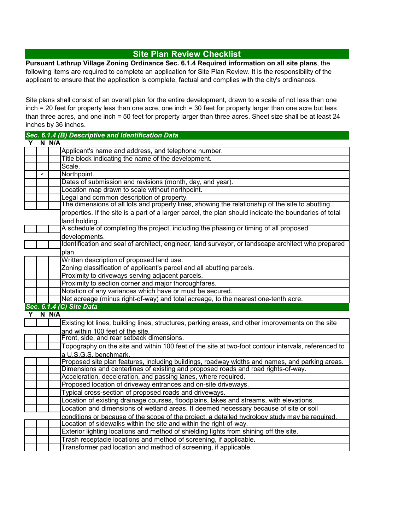## **Site Plan Review Checklist**

**Pursuant Lathrup Village Zoning Ordinance Sec. 6.1.4 Required information on all site plans**, the following items are required to complete an application for Site Plan Review. It is the responsibility of the applicant to ensure that the application is complete, factual and complies with the city's ordinances.

Site plans shall consist of an overall plan for the entire development, drawn to a scale of not less than one inch = 20 feet for property less than one acre, one inch = 30 feet for property larger than one acre but less than three acres, and one inch = 50 feet for property larger than three acres. Sheet size shall be at least 24 inches by 36 inches.

|   |   |       | Sec. 6.1.4 (B) Descriptive and Identification Data.                                                    |  |  |  |
|---|---|-------|--------------------------------------------------------------------------------------------------------|--|--|--|
| Υ |   | N N/A |                                                                                                        |  |  |  |
|   |   |       | Applicant's name and address, and telephone number.                                                    |  |  |  |
|   |   |       | Title block indicating the name of the development.                                                    |  |  |  |
|   |   |       | Scale.                                                                                                 |  |  |  |
|   | v |       | Northpoint.                                                                                            |  |  |  |
|   |   |       | Dates of submission and revisions (month, day, and year).                                              |  |  |  |
|   |   |       | Location map drawn to scale without northpoint.                                                        |  |  |  |
|   |   |       | Legal and common description of property.                                                              |  |  |  |
|   |   |       | The dimensions of all lots and property lines, showing the relationship of the site to abutting        |  |  |  |
|   |   |       | properties. If the site is a part of a larger parcel, the plan should indicate the boundaries of total |  |  |  |
|   |   |       | land holding.                                                                                          |  |  |  |
|   |   |       | A schedule of completing the project, including the phasing or timing of all proposed                  |  |  |  |
|   |   |       | developments.                                                                                          |  |  |  |
|   |   |       | Identification and seal of architect, engineer, land surveyor, or landscape architect who prepared     |  |  |  |
|   |   |       | plan.                                                                                                  |  |  |  |
|   |   |       | Written description of proposed land use.                                                              |  |  |  |
|   |   |       | Zoning classification of applicant's parcel and all abutting parcels.                                  |  |  |  |
|   |   |       | Proximity to driveways serving adjacent parcels.                                                       |  |  |  |
|   |   |       | Proximity to section corner and major thoroughfares.                                                   |  |  |  |
|   |   |       | Notation of any variances which have or must be secured.                                               |  |  |  |
|   |   |       | Net acreage (minus right-of-way) and total acreage, to the nearest one-tenth acre.                     |  |  |  |
|   |   |       | Sec. 6.1.4 (C) Site Data                                                                               |  |  |  |
| Υ |   | N N/A |                                                                                                        |  |  |  |
|   |   |       | Existing lot lines, building lines, structures, parking areas, and other improvements on the site      |  |  |  |
|   |   |       | and within 100 feet of the site.                                                                       |  |  |  |
|   |   |       | Front, side, and rear setback dimensions.                                                              |  |  |  |
|   |   |       | Topography on the site and within 100 feet of the site at two-foot contour intervals, referenced to    |  |  |  |
|   |   |       | a U.S.G.S. benchmark.                                                                                  |  |  |  |
|   |   |       | Proposed site plan features, including buildings, roadway widths and names, and parking areas.         |  |  |  |
|   |   |       | Dimensions and centerlines of existing and proposed roads and road rights-of-way.                      |  |  |  |
|   |   |       | Acceleration, deceleration, and passing lanes, where required.                                         |  |  |  |
|   |   |       | Proposed location of driveway entrances and on-site driveways.                                         |  |  |  |
|   |   |       | Typical cross-section of proposed roads and driveways.                                                 |  |  |  |
|   |   |       | Location of existing drainage courses, floodplains, lakes and streams, with elevations.                |  |  |  |
|   |   |       | Location and dimensions of wetland areas. If deemed necessary because of site or soil                  |  |  |  |
|   |   |       | conditions or because of the scope of the project, a detailed hydrology study may be required.         |  |  |  |
|   |   |       | Location of sidewalks within the site and within the right-of-way.                                     |  |  |  |
|   |   |       | Exterior lighting locations and method of shielding lights from shining off the site.                  |  |  |  |
|   |   |       | Trash receptacle locations and method of screening, if applicable.                                     |  |  |  |
|   |   |       | Transformer pad location and method of screening, if applicable.                                       |  |  |  |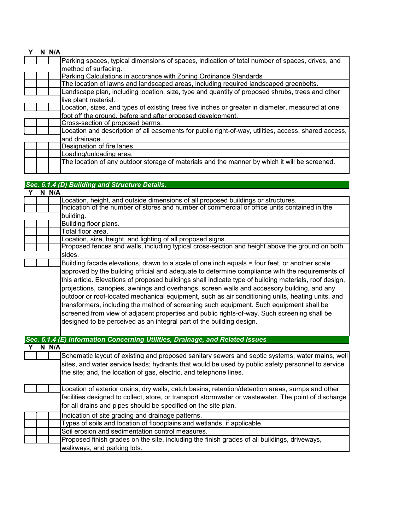#### **Y N N/A**

| Parking spaces, typical dimensions of spaces, indication of total number of spaces, drives, and      |
|------------------------------------------------------------------------------------------------------|
| method of surfacing.                                                                                 |
| Parking Calculations in accorance with Zoning Ordinance Standards                                    |
| The location of lawns and landscaped areas, including required landscaped greenbelts.                |
| Landscape plan, including location, size, type and quantity of proposed shrubs, trees and other      |
| live plant material.                                                                                 |
| Location, sizes, and types of existing trees five inches or greater in diameter, measured at one     |
| foot off the ground, before and after proposed development.                                          |
| Cross-section of proposed berms.                                                                     |
| Location and description of all easements for public right-of-way, utilities, access, shared access, |
| and drainage.                                                                                        |
| Designation of fire lanes.                                                                           |
| Loading/unloading area.                                                                              |
| The location of any outdoor storage of materials and the manner by which it will be screened.        |

# *Sec. 6.1.4 (D) Building and Structure Details.*

| Υ | N N/A |                                                                                                        |
|---|-------|--------------------------------------------------------------------------------------------------------|
|   |       | Location, height, and outside dimensions of all proposed buildings or structures.                      |
|   |       | Indication of the number of stores and number of commercial or office units contained in the           |
|   |       | building.                                                                                              |
|   |       | Building floor plans.                                                                                  |
|   |       | Total floor area.                                                                                      |
|   |       | Location, size, height, and lighting of all proposed signs.                                            |
|   |       | Proposed fences and walls, including typical cross-section and height above the ground on both         |
|   |       | sides.                                                                                                 |
|   |       | Building facade elevations, drawn to a scale of one inch equals = four feet, or another scale          |
|   |       | approved by the building official and adequate to determine compliance with the requirements of        |
|   |       | this article. Elevations of proposed buildings shall indicate type of building materials, roof design, |
|   |       | projections, canopies, awnings and overhangs, screen walls and accessory building, and any             |
|   |       | outdoor or roof-located mechanical equipment, such as air conditioning units, heating units, and       |
|   |       | transformers, including the method of screening such equipment. Such equipment shall be                |
|   |       | screened from view of adjacent properties and public rights-of-way. Such screening shall be            |
|   |       | designed to be perceived as an integral part of the building design.                                   |
|   |       |                                                                                                        |
|   |       | Sec. 6.1.4 (E) Information Concerning Utilities, Drainage, and Related Issues                          |
|   | N N/A |                                                                                                        |
|   |       | Schematic layout of existing and proposed sanitary sewers and septic systems; water mains, well        |
|   |       | sites, and water service leads; hydrants that would be used by public safety personnel to service      |
|   |       | the site; and, the location of gas, electric, and telephone lines.                                     |
|   |       |                                                                                                        |
|   |       | Location of exterior drains, dry wells, catch basins, retention/detention areas, sumps and other       |
|   |       | facilities designed to collect, store, or transport stormwater or wastewater. The point of discharge   |
|   |       | for all drains and pipes should be specified on the site plan.                                         |
|   |       |                                                                                                        |
|   |       | Indication of site grading and drainage patterns.                                                      |
|   |       | Types of soils and location of floodplains and wetlands, if applicable.                                |
|   |       | Soil erosion and sedimentation control measures.                                                       |
|   |       | Proposed finish grades on the site, including the finish grades of all buildings, driveways,           |
|   |       | walkways, and parking lots.                                                                            |